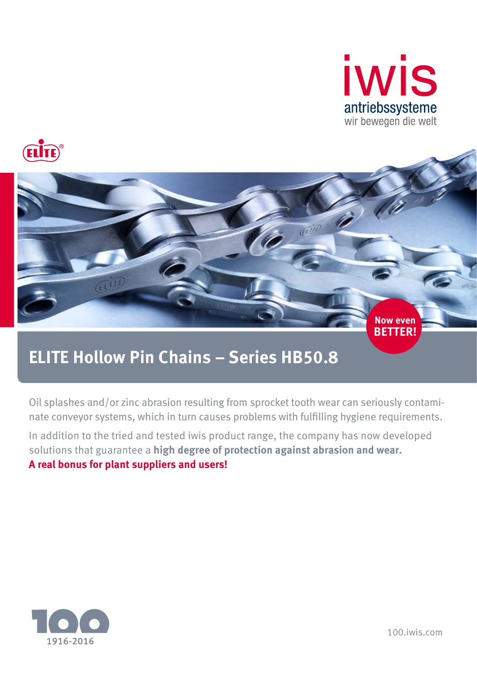





# **ELITE Hollow Pin Chains – Series HB50.8**

Oil splashes and/or zinc abrasion resulting from sprocket tooth wear can seriously contaminate conveyor systems, which in turn causes problems with fulfilling hygiene requirements.

In addition to the tried and tested iwis product range, the company has now developed solutions that guarantee a **high degree of protection against abrasion and wear. A real bonus for plant suppliers and users!**



100.iwis.com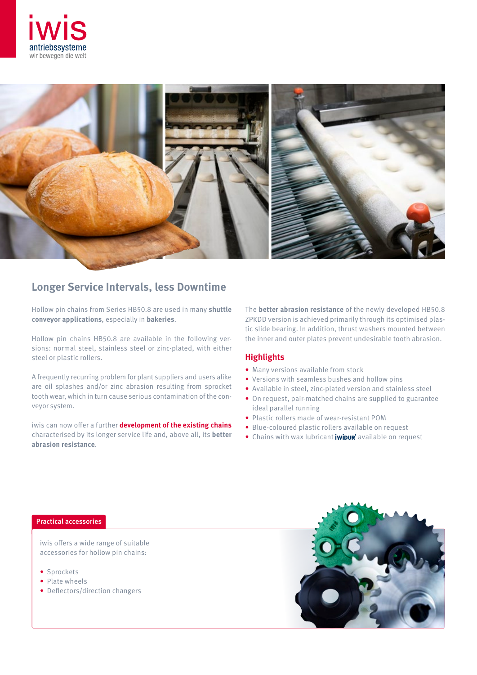



# **Longer Service Intervals, less Downtime**

Hollow pin chains from Series HB50.8 are used in many **shuttle conveyor applications**, especially in **bakeries**.

Hollow pin chains HB50.8 are available in the following versions: normal steel, stainless steel or zinc-plated, with either steel or plastic rollers.

A frequently recurring problem for plant suppliers and users alike are oil splashes and/or zinc abrasion resulting from sprocket tooth wear, which in turn cause serious contamination of the conveyor system.

iwis can now offer a further **development of the existing chains** characterised by its longer service life and, above all, its **better abrasion resistance**.

The **better abrasion resistance** of the newly developed HB50.8 ZPKDD version is achieved primarily through its optimised plastic slide bearing. In addition, thrust washers mounted between the inner and outer plates prevent undesirable tooth abrasion.

## **Highlights**

- Many versions available from stock
- Versions with seamless bushes and hollow pins
- Available in steel, zinc-plated version and stainless steel
- On request, pair-matched chains are supplied to guarantee ideal parallel running
- Plastic rollers made of wear-resistant POM
- Blue-coloured plastic rollers available on request
- $\bullet$  Chains with wax lubricant **iwipur** available on request

### Practical accessories

iwis offers a wide range of suitable accessories for hollow pin chains:

- Sprockets
- Plate wheels
- Deflectors/direction changers

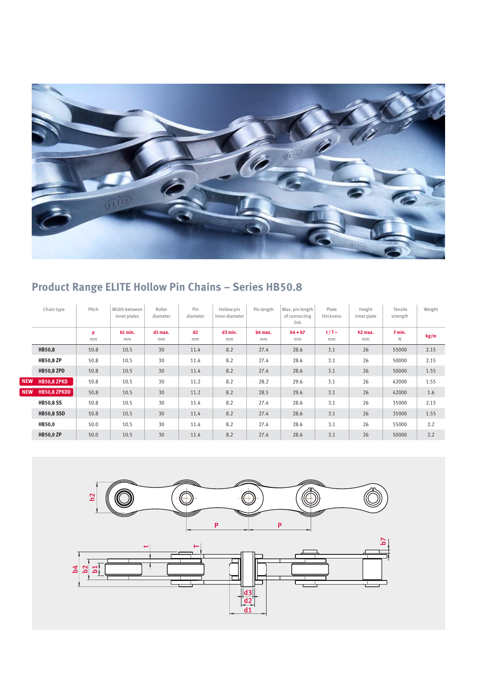

# **Product Range ELITE Hollow Pin Chains – Series HB50.8**

|            | Chain type        | Pitch   | Width between<br>inner plates | Roller<br>diameter | Pin<br>diameter | Hollow pin<br>inner diameter | Pin length    | Max. pin length<br>of connecting<br>link | Plate<br>thickness | Height<br>inner plate     | Tensile<br>strength | Weight |
|------------|-------------------|---------|-------------------------------|--------------------|-----------------|------------------------------|---------------|------------------------------------------|--------------------|---------------------------|---------------------|--------|
|            |                   | p<br>mm | b1 min.<br>mm                 | $d1$ max.<br>mm    | d2<br>mm        | $d3$ min.<br>mm              | b4 max.<br>mm | $b4 + b7$<br>mm                          | $t/T$ ~<br>mm      | h <sub>2</sub> max.<br>mm | F min.<br>N         | kg/m   |
|            | <b>HB50,8</b>     | 50.8    | 10.5                          | 30                 | 11.4            | 8.2                          | 27.4          | 28.6                                     | 3.1                | 26                        | 55000               | 2.15   |
|            | <b>HB50,8 ZP</b>  | 50.8    | 10.5                          | 30                 | 11.4            | 8.2                          | 27.4          | 28.6                                     | 3.1                | 26                        | 50000               | 2.15   |
|            | <b>HB50,8 ZPD</b> | 50.8    | 10.5                          | 30                 | 11.4            | 8.2                          | 27.4          | 28.6                                     | 3.1                | 26                        | 50000               | 1.55   |
| <b>NEW</b> | HB50,8 ZPKD       | 50.8    | 10.5                          | 30                 | 11.2            | 8.2                          | 28.2          | 29.6                                     | 3.1                | 26                        | 42000               | 1.55   |
| <b>NEW</b> | HB50,8 ZPKDD      | 50.8    | 10.5                          | 30                 | 11.2            | 8.2                          | 28.5          | 29.6                                     | 3.1                | 26                        | 42000               | 1.6    |
|            | <b>HB50,8 SS</b>  | 50.8    | 10.5                          | 30                 | 11.4            | 8.2                          | 27.4          | 28.6                                     | 3.1                | 26                        | 35000               | 2.15   |
|            | <b>HB50,8 SSD</b> | 50.8    | 10.5                          | 30                 | 11.4            | 8.2                          | 27.4          | 28.6                                     | 3.1                | 26                        | 35000               | 1.55   |
|            | HB50,0            | 50.0    | 10.5                          | 30                 | 11.4            | 8.2                          | 27.4          | 28.6                                     | 3.1                | 26                        | 55000               | 2.2    |
|            | <b>HB50,0 ZP</b>  | 50.0    | 10.5                          | 30                 | 11.4            | 8.2                          | 27.4          | 28.6                                     | 3.1                | 26                        | 50000               | 2.2    |



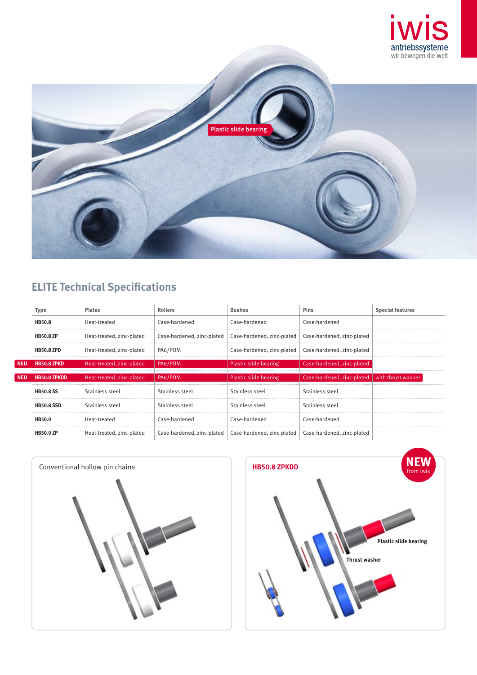



# **ELITE Technical Specifications**

|            | Type                | <b>Plates</b>             | <b>Rollers</b>             | <b>Bushes</b>              | <b>Pins</b>                | <b>Special features</b> |  |
|------------|---------------------|---------------------------|----------------------------|----------------------------|----------------------------|-------------------------|--|
|            | <b>HB50.8</b>       | Heat-treated              | Case-hardened              | Case-hardened              | Case-hardened              |                         |  |
|            | <b>HB50.8 ZP</b>    | Heat-treated, zinc-plated | Case-hardened, zinc-plated | Case-hardened, zinc-plated | Case-hardened, zinc-plated |                         |  |
|            | <b>HB50.8 ZPD</b>   | Heat-treated, zinc-plated | PA6/POM                    | Case-hardened, zinc-plated | Case-hardened, zinc-plated |                         |  |
| <b>NEU</b> | <b>HB50.8 ZPKD</b>  | Heat-treated, zinc-plated | PA6/POM                    | Plastic slide bearing      | Case-hardened, zinc-plated |                         |  |
| <b>NEU</b> | <b>HB50.8 ZPKDD</b> | Heat-treated, zinc-plated | PA6/POM                    | Plastic slide bearing      | Case-hardened, zinc-plated | with thrust washer      |  |
|            | <b>HB50.8 SS</b>    | Stainless steel           | Stainless steel            | Stainless steel            | Stainless steel            |                         |  |
|            | <b>HB50.8 SSD</b>   | Stainless steel           | Stainless steel            | Stainless steel            | Stainless steel            |                         |  |
|            | <b>HB50.0</b>       | Heat-treated              | Case-hardened              | Case-hardened              | Case-hardened              |                         |  |
|            | <b>HB50.0 ZP</b>    | Heat-treated, zinc-plated | Case-hardened, zinc-plated | Case-hardened, zinc-plated | Case-hardened, zinc-plated |                         |  |



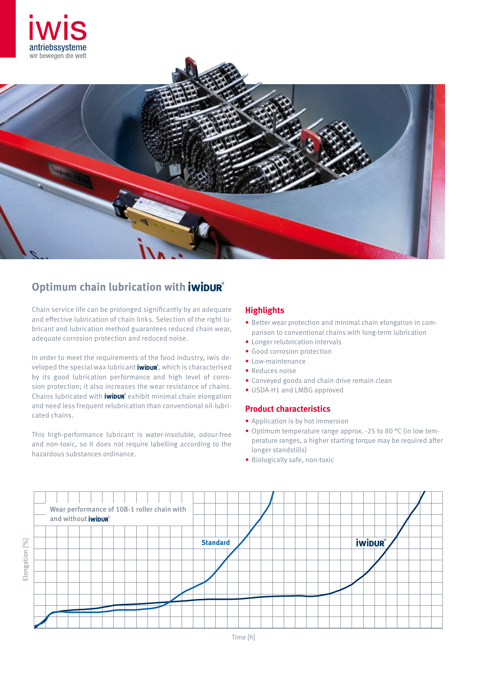



## **Optimum chain lubrication with** *iwibur*

Chain service life can be prolonged significantly by an adequate and effective lubrication of chain links. Selection of the right lubricant and lubrication method guarantees reduced chain wear, adequate corrosion protection and reduced noise.

In order to meet the requirements of the food industry, iwis developed the special wax lubricant **iwipur**, which is characterised by its good lubrication performance and high level of corrosion protection; it also increases the wear resistance of chains. Chains lubricated with **iwipur** exhibit minimal chain elongation and need less frequent relubrication than conventional oil-lubricated chains.

This high-performance lubricant is water-insoluble, odour-free and non-toxic, so it does not require labelling according to the hazardous substances ordinance.

## **Highlights**

- Better wear protection and minimal chain elongation in comparison to conventional chains with long-term lubrication
- Longer relubrication intervals
- Good corrosion protection
- Low-maintenance
- Reduces noise
- Conveyed goods and chain drive remain clean
- USDA-H1 and LMBG approved

## **Product characteristics**

- Application is by hot immersion
- Optimum temperature range approx. -25 to 80 °C (in low temperature ranges, a higher starting torque may be required after longer standstills)
- Biologically safe, non-toxic